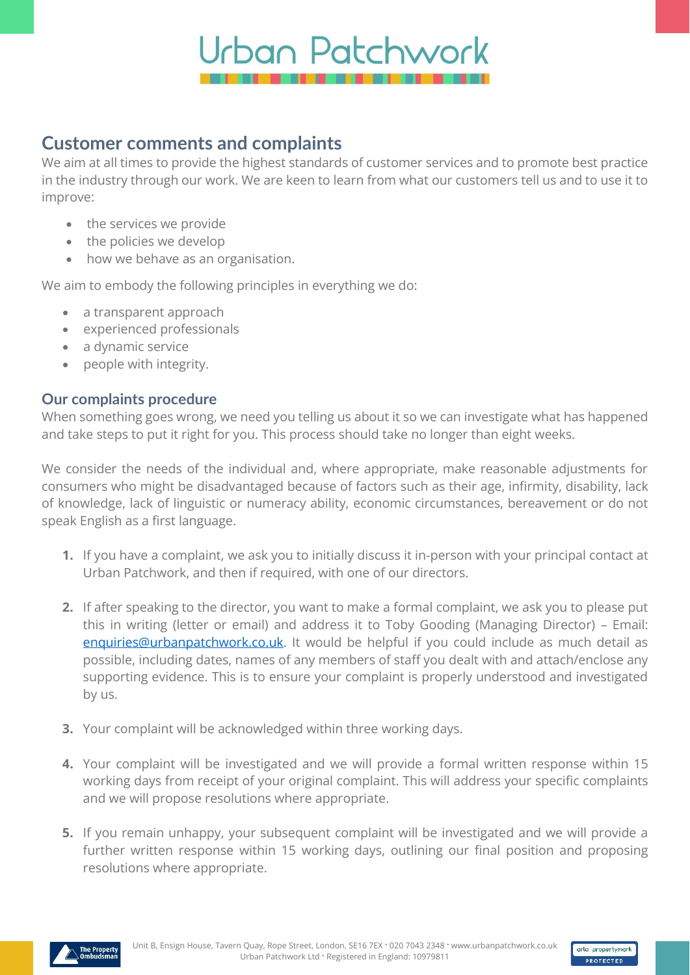

## **Customer comments and complaints**

We aim at all times to provide the highest standards of customer services and to promote best practice in the industry through our work. We are keen to learn from what our customers tell us and to use it to improve:

- the services we provide
- the policies we develop
- how we behave as an organisation.

We aim to embody the following principles in everything we do:

- a transparent approach
- experienced professionals
- a dynamic service
- people with integrity.

## **Our complaints procedure**

When something goes wrong, we need you telling us about it so we can investigate what has happened and take steps to put it right for you. This process should take no longer than eight weeks.

We consider the needs of the individual and, where appropriate, make reasonable adjustments for consumers who might be disadvantaged because of factors such as their age, infirmity, disability, lack of knowledge, lack of linguistic or numeracy ability, economic circumstances, bereavement or do not speak English as a first language.

- **1.** If you have a complaint, we ask you to initially discuss it in-person with your principal contact at Urban Patchwork, and then if required, with one of our directors.
- **2.** If after speaking to the director, you want to make a formal complaint, we ask you to please put this in writing (letter or email) and address it to Toby Gooding (Managing Director) – Email: [enquiries@urbanpatchwork.co.uk.](mailto:enquiries@urbanpatchwork.co.uk) It would be helpful if you could include as much detail as possible, including dates, names of any members of staff you dealt with and attach/enclose any supporting evidence. This is to ensure your complaint is properly understood and investigated by us.
- **3.** Your complaint will be acknowledged within three working days.
- **4.** Your complaint will be investigated and we will provide a formal written response within 15 working days from receipt of your original complaint. This will address your specific complaints and we will propose resolutions where appropriate.
- **5.** If you remain unhappy, your subsequent complaint will be investigated and we will provide a further written response within 15 working days, outlining our final position and proposing resolutions where appropriate.